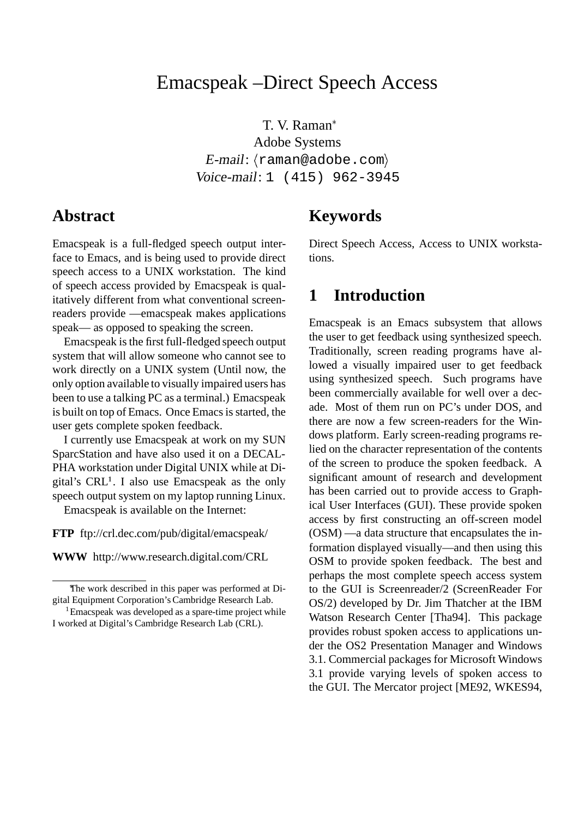# Emacspeak –Direct Speech Access

T. V. Raman Adobe Systems  $E$ -mail:  $\langle$ raman@adobe.com $\rangle$ Voice-mail: 1 (415) 962-3945

#### **Abstract**

Emacspeak is a full-fledged speech output interface to Emacs, and is being used to provide direct speech access to a UNIX workstation. The kind of speech access provided by Emacspeak is qualitatively different from what conventional screenreaders provide —emacspeak makes applications speak— as opposed to speaking the screen.

Emacspeak is the first full-fledged speech output system that will allow someone who cannot see to work directly on a UNIX system (Until now, the only option available to visually impaired users has been to use a talking PC as a terminal.) Emacspeak is built on top of Emacs. Once Emacs is started, the user gets complete spoken feedback.

I currently use Emacspeak at work on my SUN SparcStation and have also used it on a DECAL-PHA workstation under Digital UNIX while at Digital's  $CRL<sup>1</sup>$ . I also use Emacspeak as the only speech output system on my laptop running Linux.

Emacspeak is available on the Internet:

**FTP** ftp://crl.dec.com/pub/digital/emacspeak/

**WWW** http://www.research.digital.com/CRL

## **Keywords**

Direct Speech Access, Access to UNIX workstations.

### **1 Introduction**

Emacspeak is an Emacs subsystem that allows the user to get feedback using synthesized speech. Traditionally, screen reading programs have allowed a visually impaired user to get feedback using synthesized speech. Such programs have been commercially available for well over a decade. Most of them run on PC's under DOS, and there are now a few screen-readers for the Windows platform. Early screen-reading programs relied on the character representation of the contents of the screen to produce the spoken feedback. A significant amount of research and development has been carried out to provide access to Graphical User Interfaces (GUI). These provide spoken access by first constructing an off-screen model (OSM) —a data structure that encapsulates the information displayed visually—and then using this OSM to provide spoken feedback. The best and perhaps the most complete speech access system to the GUI is Screenreader/2 (ScreenReader For OS/2) developed by Dr. Jim Thatcher at the IBM Watson Research Center [Tha94]. This package provides robust spoken access to applications under the OS2 Presentation Manager and Windows 3.1. Commercial packages for Microsoft Windows 3.1 provide varying levels of spoken access to the GUI. The Mercator project [ME92, WKES94,

The work described in this paper was performed at Digital Equipment Corporation's Cambridge Research Lab.

<sup>&</sup>lt;sup>1</sup> Emacspeak was developed as a spare-time project while I worked at Digital's Cambridge Research Lab (CRL).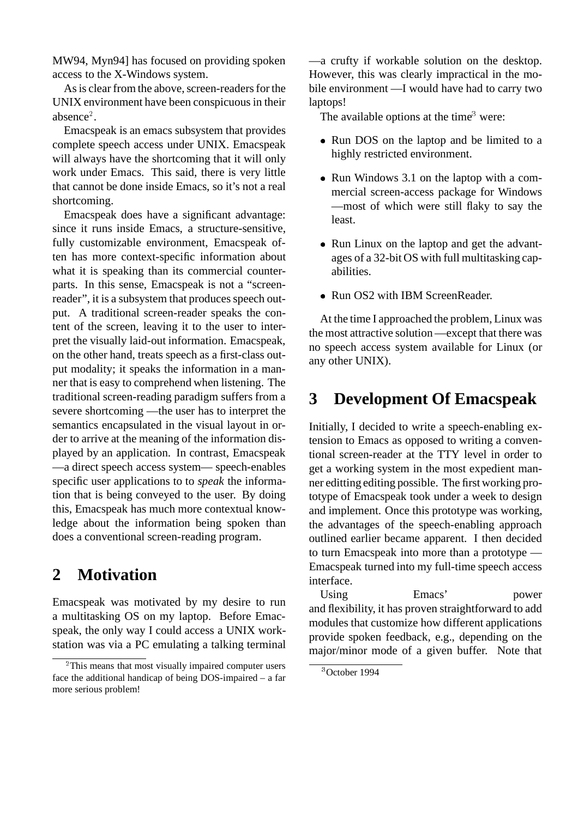MW94, Myn94] has focused on providing spoken access to the X-Windows system.

As is clear from the above, screen-readers for the UNIX environment have been conspicuous in their absence<sup>2</sup>.

Emacspeak is an emacs subsystem that provides complete speech access under UNIX. Emacspeak will always have the shortcoming that it will only work under Emacs. This said, there is very little that cannot be done inside Emacs, so it's not a real shortcoming.

Emacspeak does have a significant advantage: since it runs inside Emacs, a structure-sensitive, fully customizable environment, Emacspeak often has more context-specific information about what it is speaking than its commercial counterparts. In this sense, Emacspeak is not a "screenreader", it is a subsystem that produces speech output. A traditional screen-reader speaks the content of the screen, leaving it to the user to interpret the visually laid-out information. Emacspeak, on the other hand, treats speech as a first-class output modality; it speaks the information in a manner that is easy to comprehend when listening. The traditional screen-reading paradigm suffers from a severe shortcoming —the user has to interpret the semantics encapsulated in the visual layout in order to arrive at the meaning of the information displayed by an application. In contrast, Emacspeak —a direct speech access system— speech-enables specific user applications to to *speak* the information that is being conveyed to the user. By doing this, Emacspeak has much more contextual knowledge about the information being spoken than does a conventional screen-reading program.

## **2 Motivation**

Emacspeak was motivated by my desire to run a multitasking OS on my laptop. Before Emacspeak, the only way I could access a UNIX workstation was via a PC emulating a talking terminal —a crufty if workable solution on the desktop. However, this was clearly impractical in the mobile environment —I would have had to carry two laptops!

The available options at the time<sup>3</sup> were:

- Run DOS on the laptop and be limited to a highly restricted environment.
- Run Windows 3.1 on the laptop with a commercial screen-access package for Windows —most of which were still flaky to say the least.
- Run Linux on the laptop and get the advantages of a 32-bit OS with full multitasking capabilities.
- **Run OS2 with IBM ScreenReader.**

At the time I approached the problem, Linux was the most attractive solution —except that there was no speech access system available for Linux (or any other UNIX).

## **3 Development Of Emacspeak**

Initially, I decided to write a speech-enabling extension to Emacs as opposed to writing a conventional screen-reader at the TTY level in order to get a working system in the most expedient manner editting editing possible. The first working prototype of Emacspeak took under a week to design and implement. Once this prototype was working, the advantages of the speech-enabling approach outlined earlier became apparent. I then decided to turn Emacspeak into more than a prototype — Emacspeak turned into my full-time speech access interface.

Using Emacs' power and flexibility, it has proven straightforward to add modules that customize how different applications provide spoken feedback, e.g., depending on the major/minor mode of a given buffer. Note that

<sup>&</sup>lt;sup>2</sup>This means that most visually impaired computer users face the additional handicap of being DOS-impaired – a far more serious problem!

<sup>3</sup> October 1994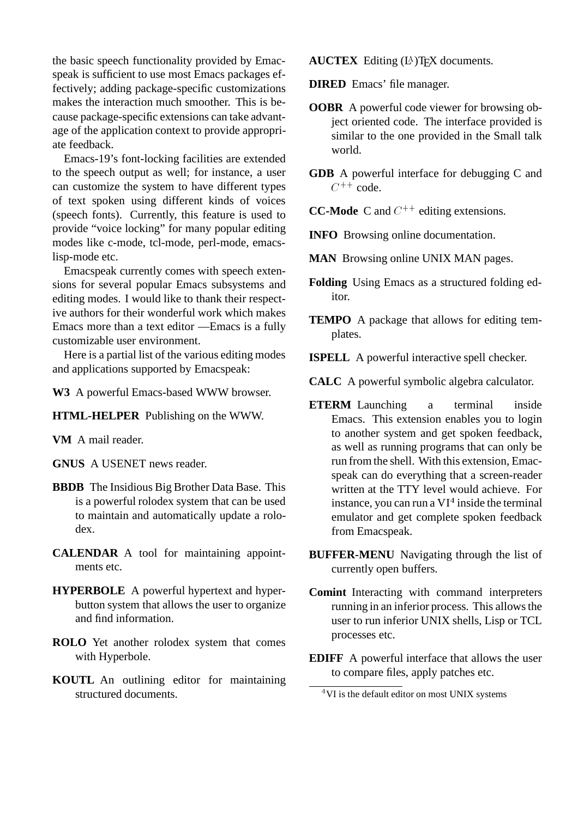the basic speech functionality provided by Emacspeak is sufficient to use most Emacs packages effectively; adding package-specific customizations makes the interaction much smoother. This is because package-specific extensions can take advantage of the application context to provide appropriate feedback.

Emacs-19's font-locking facilities are extended to the speech output as well; for instance, a user can customize the system to have different types of text spoken using different kinds of voices (speech fonts). Currently, this feature is used to provide "voice locking" for many popular editing modes like c-mode, tcl-mode, perl-mode, emacslisp-mode etc.

Emacspeak currently comes with speech extensions for several popular Emacs subsystems and editing modes. I would like to thank their respective authors for their wonderful work which makes Emacs more than a text editor —Emacs is a fully customizable user environment.

Here is a partial list of the various editing modes and applications supported by Emacspeak:

**W3** A powerful Emacs-based WWW browser.

**HTML-HELPER** Publishing on the WWW.

**VM** A mail reader.

- **GNUS** A USENET news reader.
- **BBDB** The Insidious Big Brother Data Base. This is a powerful rolodex system that can be used to maintain and automatically update a rolodex.
- **CALENDAR** A tool for maintaining appointments etc.
- **HYPERBOLE** A powerful hypertext and hyperbutton system that allows the user to organize and find information.
- **ROLO** Yet another rolodex system that comes with Hyperbole.
- **KOUTL** An outlining editor for maintaining structured documents.

**AUCTEX** Editing (LA)T<sub>E</sub>X documents.

**DIRED** Emacs' file manager.

- **OOBR** A powerful code viewer for browsing object oriented code. The interface provided is similar to the one provided in the Small talk world.
- **GDB** A powerful interface for debugging C and  $C^{++}$  code.

**CC-Mode** C and  $C^{++}$  editing extensions.

- **INFO** Browsing online documentation.
- **MAN** Browsing online UNIX MAN pages.
- **Folding** Using Emacs as a structured folding editor.
- **TEMPO** A package that allows for editing templates.
- **ISPELL** A powerful interactive spell checker.
- **CALC** A powerful symbolic algebra calculator.
- **ETERM** Launching a terminal inside Emacs. This extension enables you to login to another system and get spoken feedback, as well as running programs that can only be run from the shell. With this extension, Emacspeak can do everything that a screen-reader written at the TTY level would achieve. For instance, you can run a  $VI^4$  inside the terminal emulator and get complete spoken feedback from Emacspeak.
- **BUFFER-MENU** Navigating through the list of currently open buffers.
- **Comint** Interacting with command interpreters running in an inferior process. This allows the user to run inferior UNIX shells, Lisp or TCL processes etc.
- **EDIFF** A powerful interface that allows the user to compare files, apply patches etc.

<sup>&</sup>lt;sup>4</sup>VI is the default editor on most UNIX systems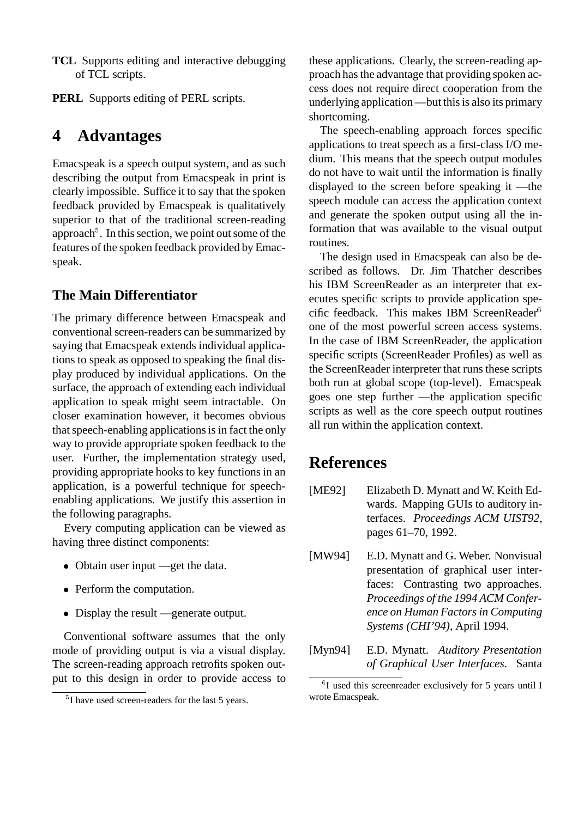- **TCL** Supports editing and interactive debugging of TCL scripts.
- **PERL** Supports editing of PERL scripts.

### **4 Advantages**

Emacspeak is a speech output system, and as such describing the output from Emacspeak in print is clearly impossible. Suffice it to say that the spoken feedback provided by Emacspeak is qualitatively superior to that of the traditional screen-reading approach<sup>5</sup>. In this section, we point out some of the features of the spoken feedback provided by Emacspeak.

#### **The Main Differentiator**

The primary difference between Emacspeak and conventional screen-readers can be summarized by saying that Emacspeak extends individual applications to speak as opposed to speaking the final display produced by individual applications. On the surface, the approach of extending each individual application to speak might seem intractable. On closer examination however, it becomes obvious that speech-enabling applications is in fact the only way to provide appropriate spoken feedback to the user. Further, the implementation strategy used, providing appropriate hooks to key functions in an application, is a powerful technique for speechenabling applications. We justify this assertion in the following paragraphs.

Every computing application can be viewed as having three distinct components:

- Obtain user input —get the data.
- Perform the computation.
- Display the result —generate output.

Conventional software assumes that the only mode of providing output is via a visual display. The screen-reading approach retrofits spoken output to this design in order to provide access to these applications. Clearly, the screen-reading approach has the advantage that providing spoken access does not require direct cooperation from the underlying application —but this is also its primary shortcoming.

The speech-enabling approach forces specific applications to treat speech as a first-class I/O medium. This means that the speech output modules do not have to wait until the information is finally displayed to the screen before speaking it —the speech module can access the application context and generate the spoken output using all the information that was available to the visual output routines.

The design used in Emacspeak can also be described as follows. Dr. Jim Thatcher describes his IBM ScreenReader as an interpreter that executes specific scripts to provide application specific feedback. This makes IBM ScreenReader<sup>6</sup> one of the most powerful screen access systems. In the case of IBM ScreenReader, the application specific scripts (ScreenReader Profiles) as well as the ScreenReader interpreter that runs these scripts both run at global scope (top-level). Emacspeak goes one step further —the application specific scripts as well as the core speech output routines all run within the application context.

### **References**

- [ME92] Elizabeth D. Mynatt and W. Keith Edwards. Mapping GUIs to auditory interfaces. *Proceedings ACM UIST92*, pages 61–70, 1992.
- [MW94] E.D. Mynatt and G. Weber. Nonvisual presentation of graphical user interfaces: Contrasting two approaches. *Proceedings of the 1994 ACM Conference on Human Factors in Computing Systems (CHI'94)*, April 1994.
- [Myn94] E.D. Mynatt. *Auditory Presentation of Graphical User Interfaces*. Santa

<sup>&</sup>lt;sup>5</sup>I have used screen-readers for the last 5 years.

<sup>&</sup>lt;sup>6</sup>I used this screenreader exclusively for 5 years until I wrote Emacspeak.